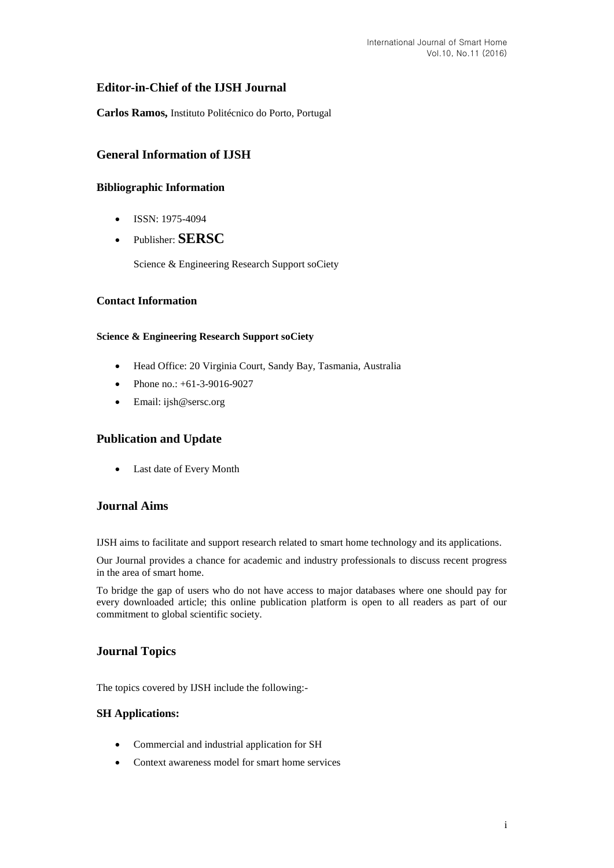# **Editor-in-Chief of the IJSH Journal**

**Carlos Ramos,** Instituto Politécnico do Porto, Portugal

# **General Information of IJSH**

# **Bibliographic Information**

- $\bullet$  ISSN: 1975-4094
- Publisher: **SERSC**

Science & Engineering Research Support soCiety

## **Contact Information**

### **Science & Engineering Research Support soCiety**

- Head Office: 20 Virginia Court, Sandy Bay, Tasmania, Australia
- Phone no.: +61-3-9016-9027
- Email: [ijsh@sersc.org](mailto:ijast@sersc.org)

# **Publication and Update**

Last date of Every Month

## **Journal Aims**

IJSH aims to facilitate and support research related to smart home technology and its applications.

Our Journal provides a chance for academic and industry professionals to discuss recent progress in the area of smart home.

To bridge the gap of users who do not have access to major databases where one should pay for every downloaded article; this online publication platform is open to all readers as part of our commitment to global scientific society.

# **Journal Topics**

The topics covered by IJSH include the following:-

#### **SH Applications:**

- Commercial and industrial application for SH
- Context awareness model for smart home services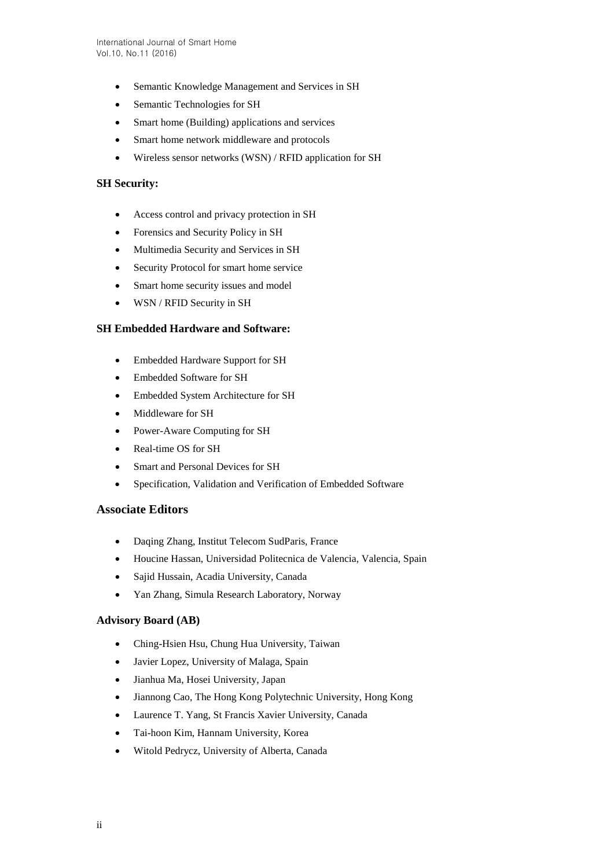- Semantic Knowledge Management and Services in SH
- Semantic Technologies for SH
- Smart home (Building) applications and services
- Smart home network middleware and protocols
- Wireless sensor networks (WSN) / RFID application for SH

### **SH Security:**

- Access control and privacy protection in SH
- Forensics and Security Policy in SH
- Multimedia Security and Services in SH
- Security Protocol for smart home service
- Smart home security issues and model
- WSN / RFID Security in SH

### **SH Embedded Hardware and Software:**

- Embedded Hardware Support for SH
- Embedded Software for SH
- Embedded System Architecture for SH
- Middleware for SH
- Power-Aware Computing for SH
- Real-time OS for SH
- Smart and Personal Devices for SH
- Specification, Validation and Verification of Embedded Software

### **Associate Editors**

- Daqing Zhang, Institut Telecom SudParis, France
- Houcine Hassan, Universidad Politecnica de Valencia, Valencia, Spain
- Sajid Hussain, Acadia University, Canada
- Yan Zhang, Simula Research Laboratory, Norway

## **Advisory Board (AB)**

- Ching-Hsien Hsu, Chung Hua University, Taiwan
- Javier Lopez, University of Malaga, Spain
- Jianhua Ma, Hosei University, Japan
- Jiannong Cao, The Hong Kong Polytechnic University, Hong Kong
- Laurence T. Yang, St Francis Xavier University, Canada
- Tai-hoon Kim, Hannam University, Korea
- Witold Pedrycz, University of Alberta, Canada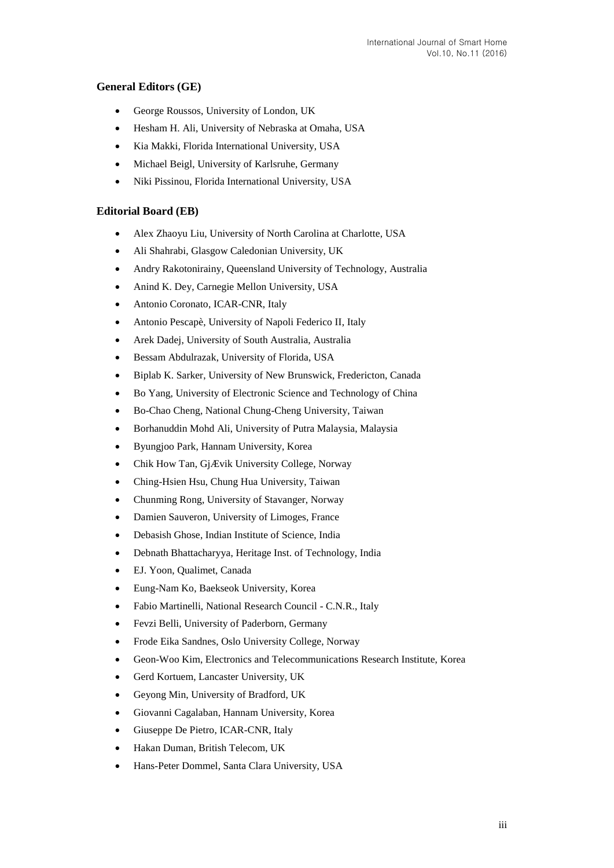# **General Editors (GE)**

- George Roussos, University of London, UK
- Hesham H. Ali, University of Nebraska at Omaha, USA
- Kia Makki, Florida International University, USA
- Michael Beigl, University of Karlsruhe, Germany
- Niki Pissinou, Florida International University, USA

### **Editorial Board (EB)**

- Alex Zhaoyu Liu, University of North Carolina at Charlotte, USA
- Ali Shahrabi, Glasgow Caledonian University, UK
- Andry Rakotonirainy, Queensland University of Technology, Australia
- Anind K. Dey, Carnegie Mellon University, USA
- Antonio Coronato, ICAR-CNR, Italy
- Antonio Pescapè, University of Napoli Federico II, Italy
- Arek Dadej, University of South Australia, Australia
- Bessam Abdulrazak, University of Florida, USA
- Biplab K. Sarker, University of New Brunswick, Fredericton, Canada
- Bo Yang, University of Electronic Science and Technology of China
- Bo-Chao Cheng, National Chung-Cheng University, Taiwan
- Borhanuddin Mohd Ali, University of Putra Malaysia, Malaysia
- Byungjoo Park, Hannam University, Korea
- Chik How Tan, GjÆ vik University College, Norway
- Ching-Hsien Hsu, Chung Hua University, Taiwan
- Chunming Rong, University of Stavanger, Norway
- Damien Sauveron, University of Limoges, France
- Debasish Ghose, Indian Institute of Science, India
- Debnath Bhattacharyya, Heritage Inst. of Technology, India
- EJ. Yoon, Qualimet, Canada
- Eung-Nam Ko, Baekseok University, Korea
- Fabio Martinelli, National Research Council C.N.R., Italy
- Fevzi Belli, University of Paderborn, Germany
- Frode Eika Sandnes, Oslo University College, Norway
- Geon-Woo Kim, Electronics and Telecommunications Research Institute, Korea
- Gerd Kortuem, Lancaster University, UK
- Geyong Min, University of Bradford, UK
- Giovanni Cagalaban, Hannam University, Korea
- Giuseppe De Pietro, ICAR-CNR, Italy
- Hakan Duman, British Telecom, UK
- Hans-Peter Dommel, Santa Clara University, USA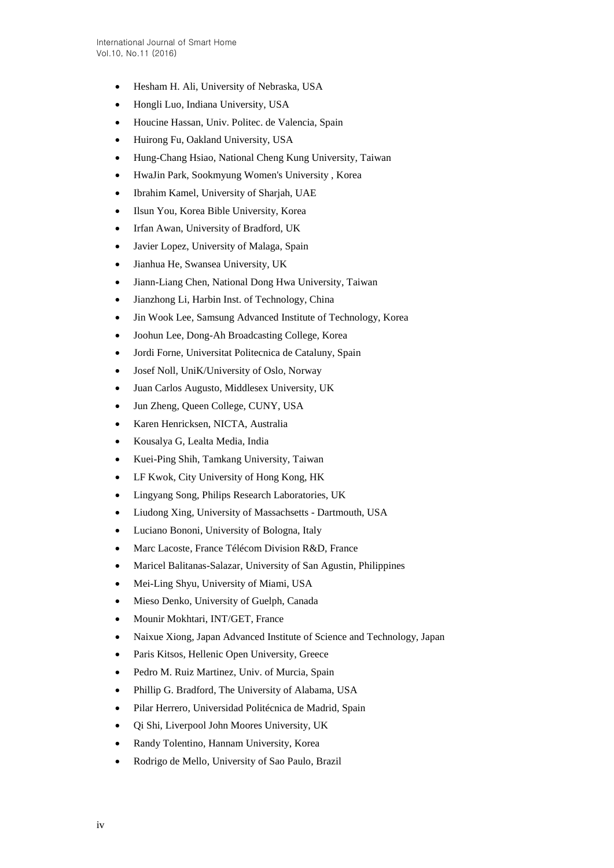- Hesham H. Ali, University of Nebraska, USA
- Hongli Luo, Indiana University, USA
- Houcine Hassan, Univ. Politec. de Valencia, Spain
- Huirong Fu, Oakland University, USA
- Hung-Chang Hsiao, National Cheng Kung University, Taiwan
- HwaJin Park, Sookmyung Women's University , Korea
- Ibrahim Kamel, University of Sharjah, UAE
- Ilsun You, Korea Bible University, Korea
- Irfan Awan, University of Bradford, UK
- Javier Lopez, University of Malaga, Spain
- Jianhua He, Swansea University, UK
- Jiann-Liang Chen, National Dong Hwa University, Taiwan
- Jianzhong Li, Harbin Inst. of Technology, China
- Jin Wook Lee, Samsung Advanced Institute of Technology, Korea
- Joohun Lee, Dong-Ah Broadcasting College, Korea
- Jordi Forne, Universitat Politecnica de Cataluny, Spain
- Josef Noll, UniK/University of Oslo, Norway
- Juan Carlos Augusto, Middlesex University, UK
- Jun Zheng, Queen College, CUNY, USA
- Karen Henricksen, NICTA, Australia
- Kousalya G, Lealta Media, India
- Kuei-Ping Shih, Tamkang University, Taiwan
- LF Kwok, City University of Hong Kong, HK
- Lingyang Song, Philips Research Laboratories, UK
- Liudong Xing, University of Massachsetts Dartmouth, USA
- Luciano Bononi, University of Bologna, Italy
- Marc Lacoste, France Télécom Division R&D, France
- Maricel Balitanas-Salazar, University of San Agustin, Philippines
- Mei-Ling Shyu, University of Miami, USA
- Mieso Denko, University of Guelph, Canada
- Mounir Mokhtari, INT/GET, France
- Naixue Xiong, Japan Advanced Institute of Science and Technology, Japan
- Paris Kitsos, Hellenic Open University, Greece
- Pedro M. Ruiz Martinez, Univ. of Murcia, Spain
- Phillip G. Bradford, The University of Alabama, USA
- Pilar Herrero, Universidad Politécnica de Madrid, Spain
- Qi Shi, Liverpool John Moores University, UK
- Randy Tolentino, Hannam University, Korea
- Rodrigo de Mello, University of Sao Paulo, Brazil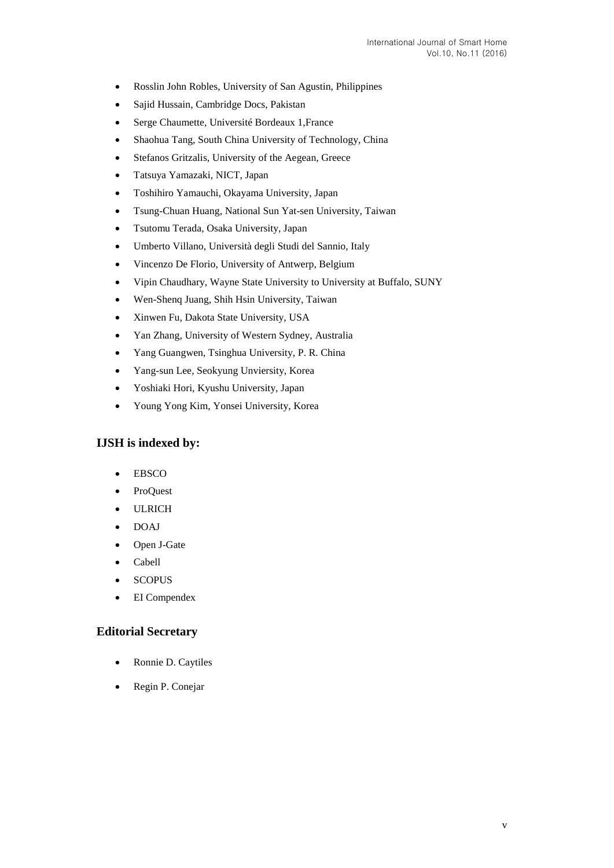- Rosslin John Robles, University of San Agustin, Philippines
- Sajid Hussain, Cambridge Docs, Pakistan
- Serge Chaumette, Université Bordeaux 1,France
- Shaohua Tang, South China University of Technology, China
- Stefanos Gritzalis, University of the Aegean, Greece
- Tatsuya Yamazaki, NICT, Japan
- Toshihiro Yamauchi, Okayama University, Japan
- Tsung-Chuan Huang, National Sun Yat-sen University, Taiwan
- Tsutomu Terada, Osaka University, Japan
- Umberto Villano, Università degli Studi del Sannio, Italy
- Vincenzo De Florio, University of Antwerp, Belgium
- Vipin Chaudhary, Wayne State University to University at Buffalo, SUNY
- Wen-Shenq Juang, Shih Hsin University, Taiwan
- Xinwen Fu, Dakota State University, USA
- Yan Zhang, University of Western Sydney, Australia
- Yang Guangwen, Tsinghua University, P. R. China
- Yang-sun Lee, Seokyung Unviersity, Korea
- Yoshiaki Hori, Kyushu University, Japan
- Young Yong Kim, Yonsei University, Korea

## **IJSH is indexed by:**

- EBSCO
- ProQuest
- ULRICH
- DOAJ
- Open J-Gate
- Cabell
- **SCOPUS**
- EI Compendex

#### **Editorial Secretary**

- Ronnie D. Caytiles
- Regin P. Conejar